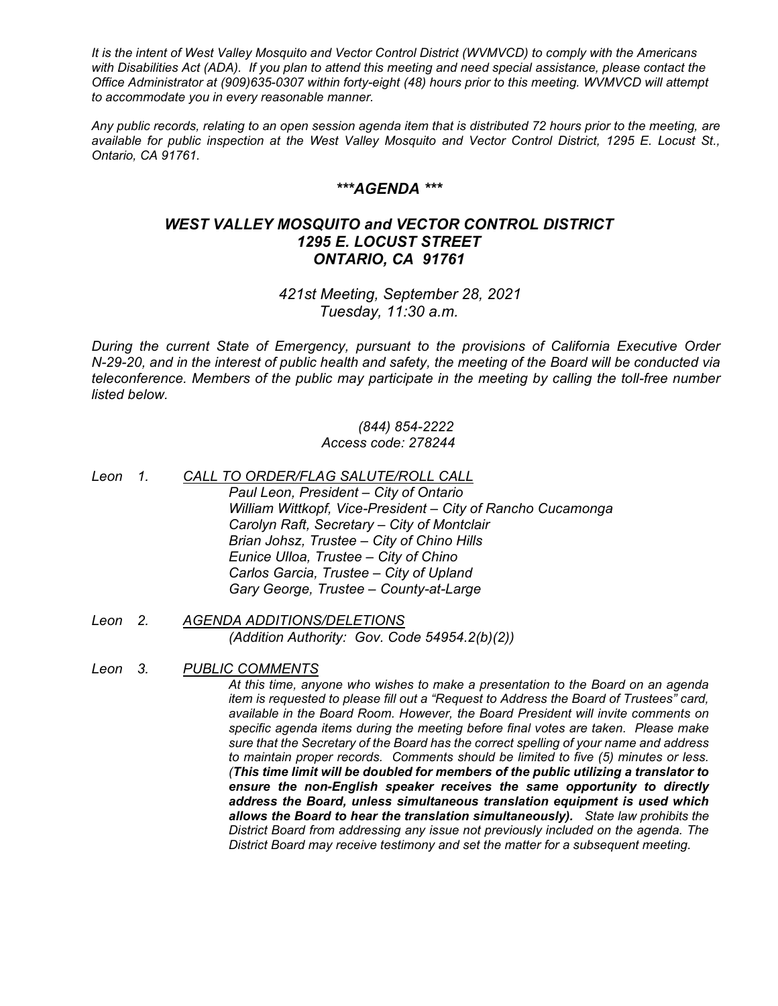*It is the intent of West Valley Mosquito and Vector Control District (WVMVCD) to comply with the Americans with Disabilities Act (ADA). If you plan to attend this meeting and need special assistance, please contact the Office Administrator at (909)635-0307 within forty-eight (48) hours prior to this meeting. WVMVCD will attempt to accommodate you in every reasonable manner.*

*Any public records, relating to an open session agenda item that is distributed 72 hours prior to the meeting, are available for public inspection at the West Valley Mosquito and Vector Control District, 1295 E. Locust St., Ontario, CA 91761.*

## *\*\*\*AGENDA \*\*\**

## *WEST VALLEY MOSQUITO and VECTOR CONTROL DISTRICT 1295 E. LOCUST STREET ONTARIO, CA 91761*

*421st Meeting, September 28, 2021 Tuesday, 11:30 a.m.*

*During the current State of Emergency, pursuant to the provisions of California Executive Order N-29-20, and in the interest of public health and safety, the meeting of the Board will be conducted via teleconference. Members of the public may participate in the meeting by calling the toll-free number listed below.*

## *(844) 854-2222 Access code: 278244*

- *Leon 1. CALL TO ORDER/FLAG SALUTE/ROLL CALL Paul Leon, President – City of Ontario William Wittkopf, Vice-President – City of Rancho Cucamonga Carolyn Raft, Secretary – City of Montclair Brian Johsz, Trustee – City of Chino Hills Eunice Ulloa, Trustee – City of Chino Carlos Garcia, Trustee – City of Upland Gary George, Trustee – County-at-Large*
- *Leon 2. AGENDA ADDITIONS/DELETIONS (Addition Authority: Gov. Code 54954.2(b)(2))*
- *Leon 3. PUBLIC COMMENTS*

*At this time, anyone who wishes to make a presentation to the Board on an agenda item is requested to please fill out a "Request to Address the Board of Trustees" card, available in the Board Room. However, the Board President will invite comments on specific agenda items during the meeting before final votes are taken. Please make sure that the Secretary of the Board has the correct spelling of your name and address to maintain proper records. Comments should be limited to five (5) minutes or less. (This time limit will be doubled for members of the public utilizing a translator to ensure the non-English speaker receives the same opportunity to directly address the Board, unless simultaneous translation equipment is used which allows the Board to hear the translation simultaneously). State law prohibits the District Board from addressing any issue not previously included on the agenda. The District Board may receive testimony and set the matter for a subsequent meeting.*